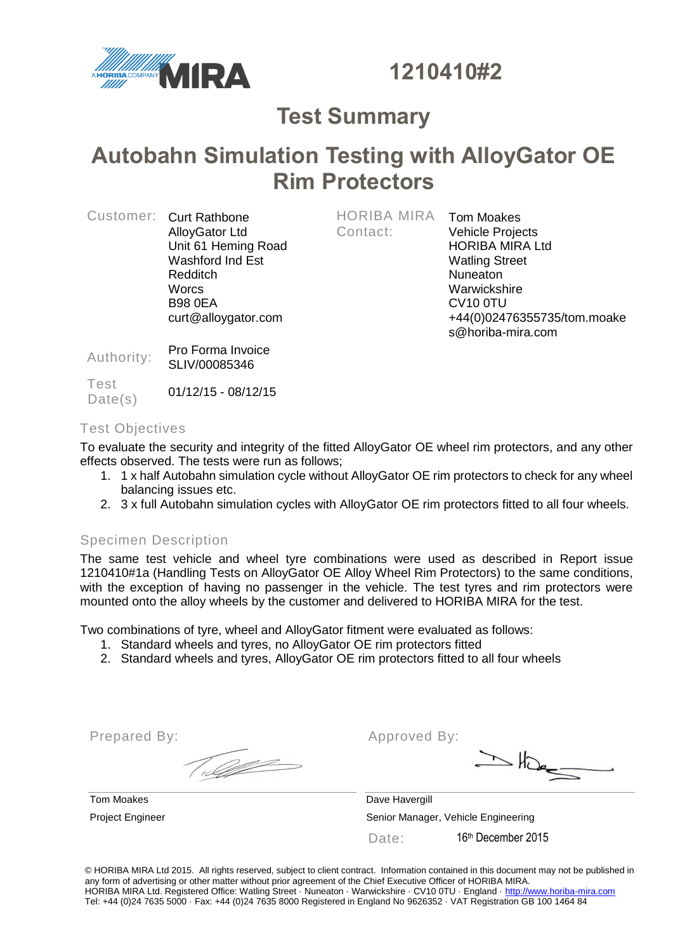

**1210410#2**

# **Test Summary**

# **Autobahn Simulation Testing with AlloyGator OE Rim Protectors**

|  | Customer: Curt Rathbone<br><b>AlloyGator Ltd</b> |
|--|--------------------------------------------------|
|  | Unit 61 Heming Road                              |
|  | Washford Ind Est                                 |
|  | Redditch                                         |
|  | <b>Worcs</b>                                     |
|  | <b>B98 0EA</b>                                   |
|  | curt@alloygator.com                              |

HORIBA MIRA Contact:

Tom Moakes Vehicle Projects HORIBA MIRA Ltd Watling Street Nuneaton **Warwickshire** CV10 0TU +44(0)02476355735/tom.moake s@horiba-mira.com

Authority: Pro Forma Invoice SLIV/00085346

Test Date(s)  $01/12/15 - 08/12/15$ 

## Test Objectives

To evaluate the security and integrity of the fitted AlloyGator OE wheel rim protectors, and any other effects observed. The tests were run as follows;

- 1. 1 x half Autobahn simulation cycle without AlloyGator OE rim protectors to check for any wheel balancing issues etc.
- 2. 3 x full Autobahn simulation cycles with AlloyGator OE rim protectors fitted to all four wheels.

## Specimen Description

The same test vehicle and wheel tyre combinations were used as described in Report issue 1210410#1a (Handling Tests on AlloyGator OE Alloy Wheel Rim Protectors) to the same conditions, with the exception of having no passenger in the vehicle. The test tyres and rim protectors were mounted onto the alloy wheels by the customer and delivered to HORIBA MIRA for the test.

Two combinations of tyre, wheel and AlloyGator fitment were evaluated as follows:

- 1. Standard wheels and tyres, no AlloyGator OE rim protectors fitted
- 2. Standard wheels and tyres, AlloyGator OE rim protectors fitted to all four wheels

Prepared By:

Approved By:

 $\geq$  the  $\leq$ 

Tom Moakes **Dave Havergill** Project Engineer Senior Manager, Vehicle Engineering Date: 16<sup>th</sup> December 2015

© HORIBA MIRA Ltd 2015. All rights reserved, subject to client contract. Information contained in this document may not be published in any form of advertising or other matter without prior agreement of the Chief Executive Officer of HORIBA MIRA. HORIBA MIRA Ltd. Registered Office: Watling Street · Nuneaton · Warwickshire · CV10 0TU · England · [http://www.horiba-mira.com](http://www.horiba-mira.com/) Tel: +44 (0)24 7635 5000 · Fax: +44 (0)24 7635 8000 Registered in England No 9626352 · VAT Registration GB 100 1464 84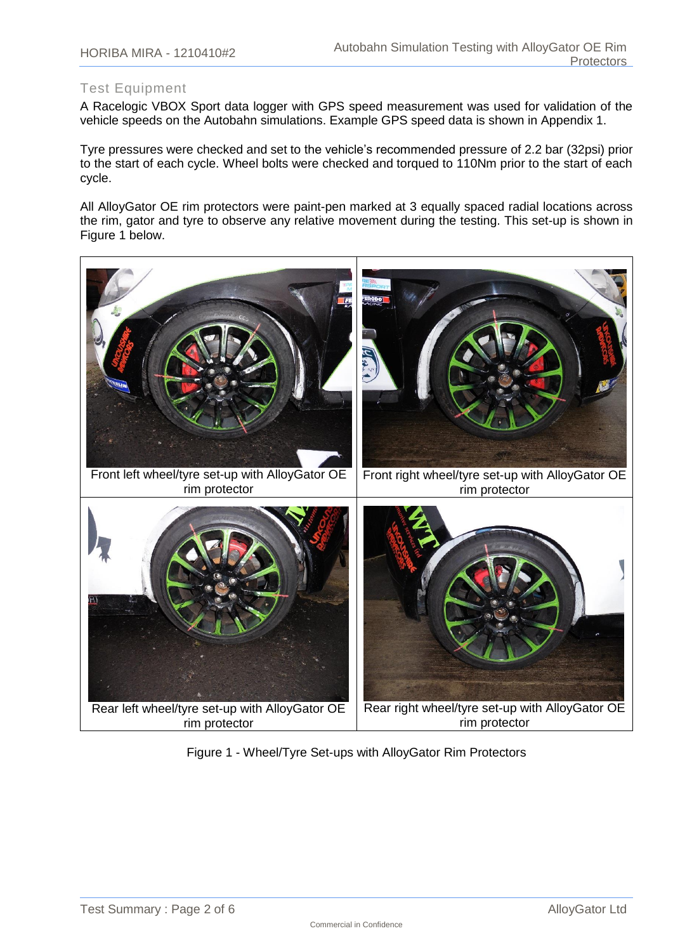## Test Equipment

A Racelogic VBOX Sport data logger with GPS speed measurement was used for validation of the vehicle speeds on the Autobahn simulations. Example GPS speed data is shown in Appendix 1.

Tyre pressures were checked and set to the vehicle's recommended pressure of 2.2 bar (32psi) prior to the start of each cycle. Wheel bolts were checked and torqued to 110Nm prior to the start of each cycle.

All AlloyGator OE rim protectors were paint-pen marked at 3 equally spaced radial locations across the rim, gator and tyre to observe any relative movement during the testing. This set-up is shown in Figure 1 below.



Figure 1 - Wheel/Tyre Set-ups with AlloyGator Rim Protectors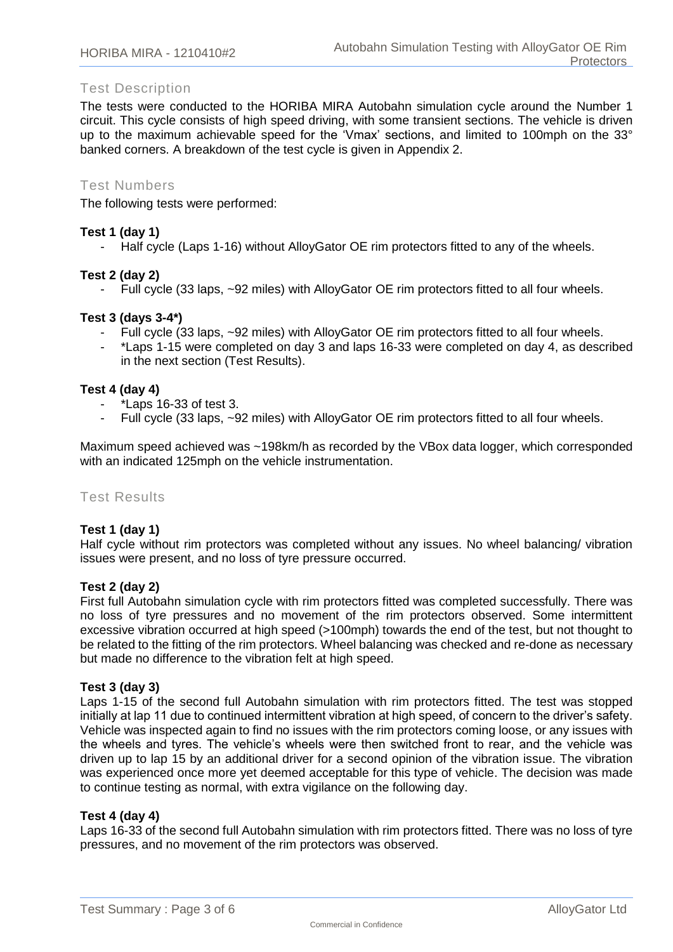## Test Description

The tests were conducted to the HORIBA MIRA Autobahn simulation cycle around the Number 1 circuit. This cycle consists of high speed driving, with some transient sections. The vehicle is driven up to the maximum achievable speed for the 'Vmax' sections, and limited to 100mph on the 33° banked corners. A breakdown of the test cycle is given in Appendix 2.

#### Test Numbers

The following tests were performed:

#### **Test 1 (day 1)**

- Half cycle (Laps 1-16) without AlloyGator OE rim protectors fitted to any of the wheels.

#### **Test 2 (day 2)**

- Full cycle (33 laps, ~92 miles) with AlloyGator OE rim protectors fitted to all four wheels.

#### **Test 3 (days 3-4\*)**

- Full cycle (33 laps, ~92 miles) with AlloyGator OE rim protectors fitted to all four wheels.
- \*Laps 1-15 were completed on day 3 and laps 16-33 were completed on day 4, as described in the next section (Test Results).

#### **Test 4 (day 4)**

- \*Laps 16-33 of test 3.
- Full cycle (33 laps, ~92 miles) with AlloyGator OE rim protectors fitted to all four wheels.

Maximum speed achieved was ~198km/h as recorded by the VBox data logger, which corresponded with an indicated 125mph on the vehicle instrumentation.

#### Test Results

#### **Test 1 (day 1)**

Half cycle without rim protectors was completed without any issues. No wheel balancing/ vibration issues were present, and no loss of tyre pressure occurred.

#### **Test 2 (day 2)**

First full Autobahn simulation cycle with rim protectors fitted was completed successfully. There was no loss of tyre pressures and no movement of the rim protectors observed. Some intermittent excessive vibration occurred at high speed (>100mph) towards the end of the test, but not thought to be related to the fitting of the rim protectors. Wheel balancing was checked and re-done as necessary but made no difference to the vibration felt at high speed.

#### **Test 3 (day 3)**

Laps 1-15 of the second full Autobahn simulation with rim protectors fitted. The test was stopped initially at lap 11 due to continued intermittent vibration at high speed, of concern to the driver's safety. Vehicle was inspected again to find no issues with the rim protectors coming loose, or any issues with the wheels and tyres. The vehicle's wheels were then switched front to rear, and the vehicle was driven up to lap 15 by an additional driver for a second opinion of the vibration issue. The vibration was experienced once more yet deemed acceptable for this type of vehicle. The decision was made to continue testing as normal, with extra vigilance on the following day.

#### **Test 4 (day 4)**

Laps 16-33 of the second full Autobahn simulation with rim protectors fitted. There was no loss of tyre pressures, and no movement of the rim protectors was observed.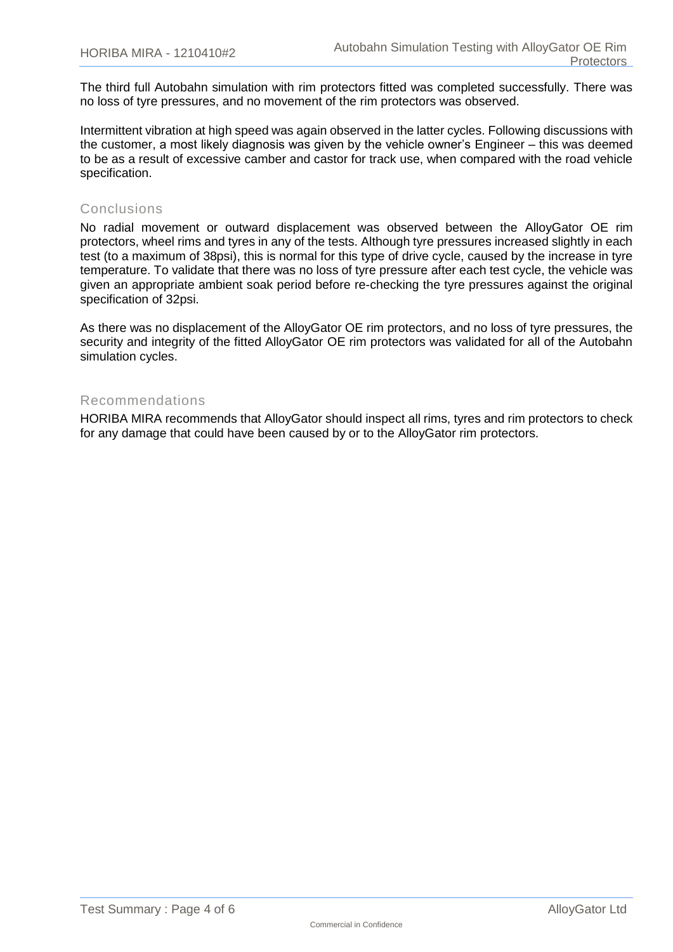The third full Autobahn simulation with rim protectors fitted was completed successfully. There was no loss of tyre pressures, and no movement of the rim protectors was observed.

Intermittent vibration at high speed was again observed in the latter cycles. Following discussions with the customer, a most likely diagnosis was given by the vehicle owner's Engineer – this was deemed to be as a result of excessive camber and castor for track use, when compared with the road vehicle specification.

### Conclusions

No radial movement or outward displacement was observed between the AlloyGator OE rim protectors, wheel rims and tyres in any of the tests. Although tyre pressures increased slightly in each test (to a maximum of 38psi), this is normal for this type of drive cycle, caused by the increase in tyre temperature. To validate that there was no loss of tyre pressure after each test cycle, the vehicle was given an appropriate ambient soak period before re-checking the tyre pressures against the original specification of 32psi.

As there was no displacement of the AlloyGator OE rim protectors, and no loss of tyre pressures, the security and integrity of the fitted AlloyGator OE rim protectors was validated for all of the Autobahn simulation cycles.

#### Recommendations

HORIBA MIRA recommends that AlloyGator should inspect all rims, tyres and rim protectors to check for any damage that could have been caused by or to the AlloyGator rim protectors.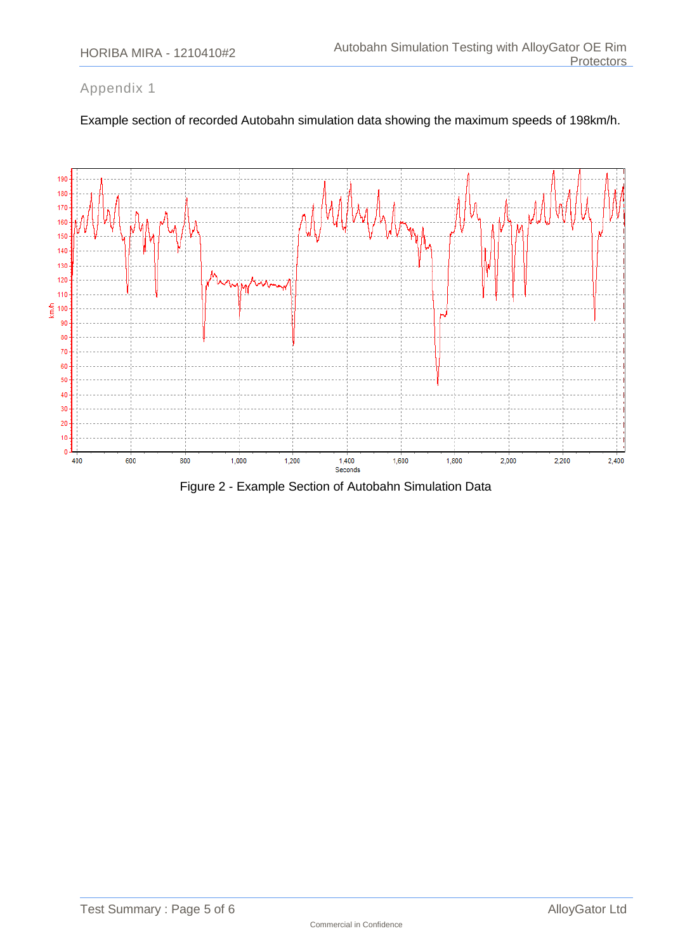## Appendix 1



Example section of recorded Autobahn simulation data showing the maximum speeds of 198km/h.

Figure 2 - Example Section of Autobahn Simulation Data